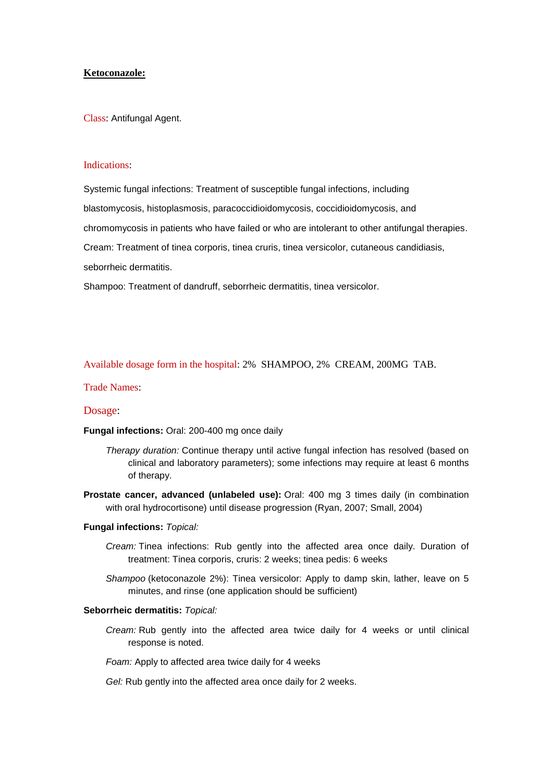## **Ketoconazole:**

Class: Antifungal Agent.

### Indications:

Systemic fungal infections: Treatment of susceptible fungal infections, including blastomycosis, histoplasmosis, paracoccidioidomycosis, coccidioidomycosis, and chromomycosis in patients who have failed or who are intolerant to other antifungal therapies. Cream: Treatment of tinea corporis, tinea cruris, tinea versicolor, cutaneous candidiasis, seborrheic dermatitis.

Shampoo: Treatment of dandruff, seborrheic dermatitis, tinea versicolor.

Available dosage form in the hospital: 2% SHAMPOO, 2% CREAM, 200MG TAB.

### Trade Names:

### Dosage:

**Fungal infections:** Oral: 200-400 mg once daily

- *Therapy duration:* Continue therapy until active fungal infection has resolved (based on clinical and laboratory parameters); some infections may require at least 6 months of therapy.
- **Prostate cancer, advanced (unlabeled use):** Oral: 400 mg 3 times daily (in combination with oral hydrocortisone) until disease progression (Ryan, 2007; Small, 2004)

#### **Fungal infections:** *Topical:*

- *Cream:* Tinea infections: Rub gently into the affected area once daily. Duration of treatment: Tinea corporis, cruris: 2 weeks; tinea pedis: 6 weeks
- *Shampoo* (ketoconazole 2%): Tinea versicolor: Apply to damp skin, lather, leave on 5 minutes, and rinse (one application should be sufficient)

#### **Seborrheic dermatitis:** *Topical:*

*Cream:* Rub gently into the affected area twice daily for 4 weeks or until clinical response is noted.

*Foam:* Apply to affected area twice daily for 4 weeks

*Gel:* Rub gently into the affected area once daily for 2 weeks.